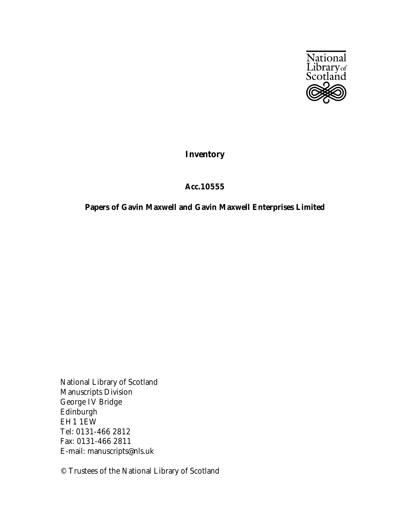

## **Inventory**

## **Acc.10555**

## **Papers of Gavin Maxwell and Gavin Maxwell Enterprises Limited**

National Library of Scotland Manuscripts Division George IV Bridge Edinburgh EH1 1EW Tel: 0131-466 2812 Fax: 0131-466 2811 E-mail: manuscripts@nls.uk

© Trustees of the National Library of Scotland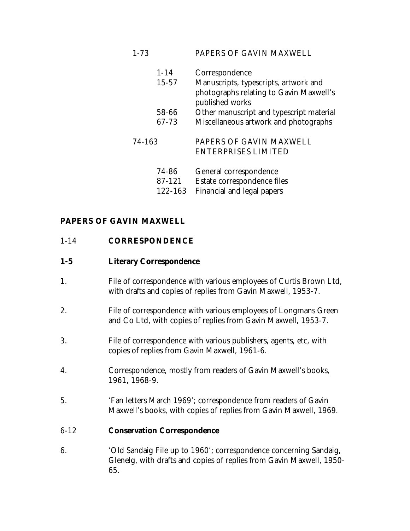| $1 - 73$ |           | PAPERS OF GAVIN MAXWELL                                                                             |
|----------|-----------|-----------------------------------------------------------------------------------------------------|
|          | $1 - 14$  | Correspondence                                                                                      |
|          | $15 - 57$ | Manuscripts, typescripts, artwork and<br>photographs relating to Gavin Maxwell's<br>published works |
|          | 58-66     | Other manuscript and typescript material                                                            |
|          | 67-73     | Miscellaneous artwork and photographs                                                               |
| 74-163   |           | PAPERS OF GAVIN MAXWELL                                                                             |
|          |           | <b>ENTERPRISES LIMITED</b>                                                                          |
|          | 74-86     | General correspondence                                                                              |
|          | 87-121    | Estate correspondence files                                                                         |
|          | 122-163   | Financial and legal papers                                                                          |

## **PAPERS OF GAVIN MAXWELL**

### 1-14 **CORRESPONDENCE**

#### **1-5 Literary Correspondence**

- 1. File of correspondence with various employees of Curtis Brown Ltd, with drafts and copies of replies from Gavin Maxwell, 1953-7.
- 2. File of correspondence with various employees of Longmans Green and Co Ltd, with copies of replies from Gavin Maxwell, 1953-7.
- 3. File of correspondence with various publishers, agents, etc, with copies of replies from Gavin Maxwell, 1961-6.
- 4. Correspondence, mostly from readers of Gavin Maxwell's books, 1961, 1968-9.
- 5. 'Fan letters March 1969'; correspondence from readers of Gavin Maxwell's books, with copies of replies from Gavin Maxwell, 1969.

### 6-12 **Conservation Correspondence**

6. 'Old Sandaig File up to 1960'; correspondence concerning Sandaig, Glenelg, with drafts and copies of replies from Gavin Maxwell, 1950- 65.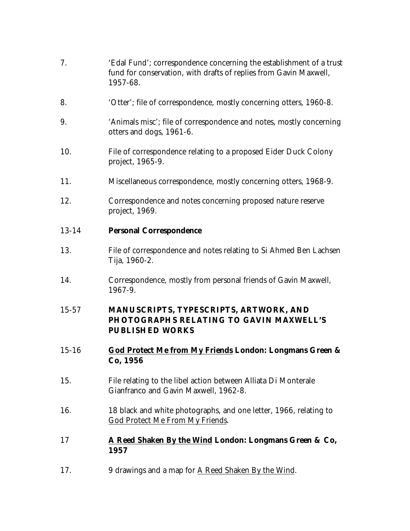| 7.        | 'Edal Fund'; correspondence concerning the establishment of a trust<br>fund for conservation, with drafts of replies from Gavin Maxwell,<br>1957-68. |
|-----------|------------------------------------------------------------------------------------------------------------------------------------------------------|
| 8.        | 'Otter'; file of correspondence, mostly concerning otters, 1960-8.                                                                                   |
| 9.        | 'Animals misc'; file of correspondence and notes, mostly concerning<br>otters and dogs, 1961-6.                                                      |
| 10.       | File of correspondence relating to a proposed Eider Duck Colony<br>project, 1965-9.                                                                  |
| 11.       | Miscellaneous correspondence, mostly concerning otters, 1968-9.                                                                                      |
| 12.       | Correspondence and notes concerning proposed nature reserve<br>project, 1969.                                                                        |
| $13 - 14$ | <b>Personal Correspondence</b>                                                                                                                       |
| 13.       | File of correspondence and notes relating to Si Ahmed Ben Lachsen<br>Tija, 1960-2.                                                                   |
| 14.       | Correspondence, mostly from personal friends of Gavin Maxwell,<br>1967-9.                                                                            |
| $15 - 57$ | MANUSCRIPTS, TYPESCRIPTS, ARTWORK, AND<br>PHOTOGRAPHS RELATING TO GAVIN MAXWELL'S<br><b>PUBLISHED WORKS</b>                                          |
| $15 - 16$ | God Protect Me from My Friends London: Longmans Green &<br>Co, 1956                                                                                  |
| 15.       | File relating to the libel action between Alliata Di Monterale<br>Gianfranco and Gavin Maxwell, 1962-8.                                              |
| 16.       | 18 black and white photographs, and one letter, 1966, relating to<br><b>God Protect Me From My Friends.</b>                                          |
| 17        | A Reed Shaken By the Wind London: Longmans Green & Co,<br>1957                                                                                       |
| 17.       | 9 drawings and a map for A Reed Shaken By the Wind.                                                                                                  |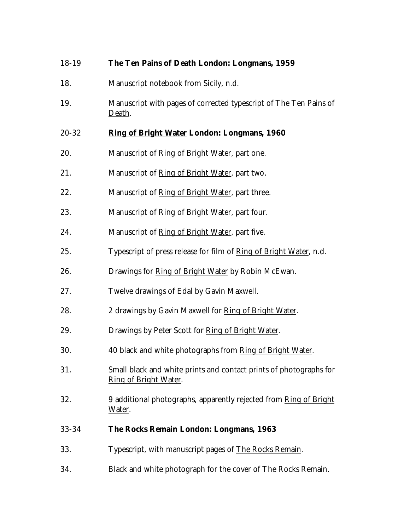| 18-19 | The Ten Pains of Death London: Longmans, 1959                                               |
|-------|---------------------------------------------------------------------------------------------|
| 18.   | Manuscript notebook from Sicily, n.d.                                                       |
| 19.   | Manuscript with pages of corrected typescript of The Ten Pains of<br>Death.                 |
| 20-32 | Ring of Bright Water London: Longmans, 1960                                                 |
| 20.   | Manuscript of Ring of Bright Water, part one.                                               |
| 21.   | Manuscript of Ring of Bright Water, part two.                                               |
| 22.   | Manuscript of Ring of Bright Water, part three.                                             |
| 23.   | Manuscript of Ring of Bright Water, part four.                                              |
| 24.   | Manuscript of Ring of Bright Water, part five.                                              |
| 25.   | Typescript of press release for film of Ring of Bright Water, n.d.                          |
| 26.   | Drawings for Ring of Bright Water by Robin McEwan.                                          |
| 27.   | Twelve drawings of Edal by Gavin Maxwell.                                                   |
| 28.   | 2 drawings by Gavin Maxwell for Ring of Bright Water.                                       |
| 29.   | Drawings by Peter Scott for Ring of Bright Water.                                           |
| 30.   | 40 black and white photographs from Ring of Bright Water.                                   |
| 31.   | Small black and white prints and contact prints of photographs for<br>Ring of Bright Water. |
| 32.   | 9 additional photographs, apparently rejected from Ring of Bright<br>Water.                 |
| 33-34 | <b>The Rocks Remain London: Longmans, 1963</b>                                              |
| 33.   | Typescript, with manuscript pages of The Rocks Remain.                                      |
| 34.   | Black and white photograph for the cover of The Rocks Remain.                               |
|       |                                                                                             |
|       |                                                                                             |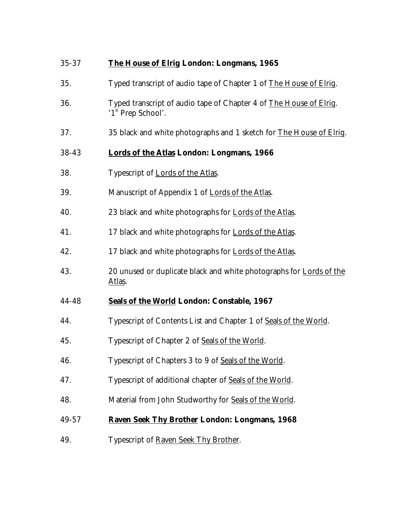| 35-37 | <b>The House of Elrig London: Longmans, 1965</b>                                                     |
|-------|------------------------------------------------------------------------------------------------------|
| 35.   | Typed transcript of audio tape of Chapter 1 of The House of Elrig.                                   |
| 36.   | Typed transcript of audio tape of Chapter 4 of The House of Elrig.<br>'1 <sup>st</sup> Prep School'. |
| 37.   | 35 black and white photographs and 1 sketch for The House of Elrig.                                  |
| 38-43 | <b>Lords of the Atlas London: Longmans, 1966</b>                                                     |
| 38.   | Typescript of <b>Lords of the Atlas</b> .                                                            |
| 39.   | Manuscript of Appendix 1 of Lords of the Atlas.                                                      |
| 40.   | 23 black and white photographs for Lords of the Atlas.                                               |
| 41.   | 17 black and white photographs for Lords of the Atlas.                                               |
| 42.   | 17 black and white photographs for Lords of the Atlas.                                               |
| 43.   | 20 unused or duplicate black and white photographs for Lords of the<br><u>Atlas</u> .                |
| 44-48 | Seals of the World London: Constable, 1967                                                           |
| 44.   | Typescript of Contents List and Chapter 1 of Seals of the World.                                     |
| 45.   | Typescript of Chapter 2 of Seals of the World.                                                       |
| 46.   | Typescript of Chapters 3 to 9 of Seals of the World.                                                 |
| 47.   | Typescript of additional chapter of Seals of the World.                                              |
| 48.   | Material from John Studworthy for Seals of the World.                                                |
| 49-57 | <b>Raven Seek Thy Brother London: Longmans, 1968</b>                                                 |
| 49.   | Typescript of Raven Seek Thy Brother.                                                                |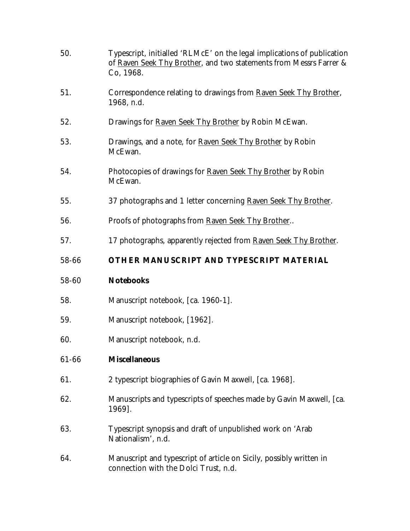| 50.   | Typescript, initialled 'RLMcE' on the legal implications of publication<br>of Raven Seek Thy Brother, and two statements from Messrs Farrer &<br>Co, 1968. |
|-------|------------------------------------------------------------------------------------------------------------------------------------------------------------|
| 51.   | Correspondence relating to drawings from Raven Seek Thy Brother,<br>1968, n.d.                                                                             |
| 52.   | Drawings for Raven Seek Thy Brother by Robin McEwan.                                                                                                       |
| 53.   | Drawings, and a note, for Raven Seek Thy Brother by Robin<br>McEwan.                                                                                       |
| 54.   | Photocopies of drawings for Raven Seek Thy Brother by Robin<br>McEwan.                                                                                     |
| 55.   | 37 photographs and 1 letter concerning Raven Seek Thy Brother.                                                                                             |
| 56.   | Proofs of photographs from Raven Seek Thy Brother                                                                                                          |
| 57.   | 17 photographs, apparently rejected from Raven Seek Thy Brother.                                                                                           |
| 58-66 | OTHER MANUSCRIPT AND TYPESCRIPT MATERIAL                                                                                                                   |
| 58-60 | <b>Notebooks</b>                                                                                                                                           |
| 58.   | Manuscript notebook, [ca. 1960-1].                                                                                                                         |
| 59.   | Manuscript notebook, [1962].                                                                                                                               |
| 60.   | Manuscript notebook, n.d.                                                                                                                                  |
| 61-66 | <b>Miscellaneous</b>                                                                                                                                       |
| 61.   | 2 typescript biographies of Gavin Maxwell, [ca. 1968].                                                                                                     |
| 62.   | Manuscripts and typescripts of speeches made by Gavin Maxwell, [ca.<br>1969].                                                                              |
| 63.   | Typescript synopsis and draft of unpublished work on 'Arab<br>Nationalism', n.d.                                                                           |
| 64.   | Manuscript and typescript of article on Sicily, possibly written in<br>connection with the Dolci Trust, n.d.                                               |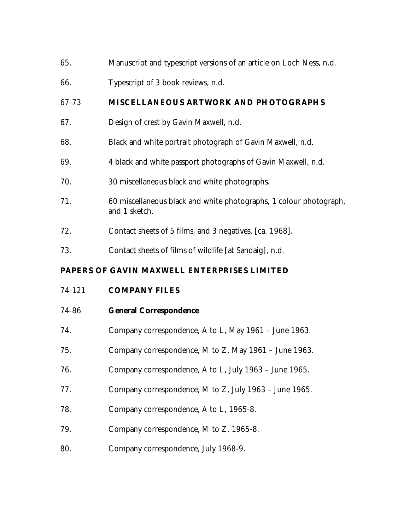- 65. Manuscript and typescript versions of an article on Loch Ness, n.d.
- 66. Typescript of 3 book reviews, n.d.

## 67-73 **MISCELLANEOUS ARTWORK AND PHOTOGRAPHS**

- 67. Design of crest by Gavin Maxwell, n.d.
- 68. Black and white portrait photograph of Gavin Maxwell, n.d.
- 69. 4 black and white passport photographs of Gavin Maxwell, n.d.
- 70. 30 miscellaneous black and white photographs.
- 71. 60 miscellaneous black and white photographs, 1 colour photograph, and 1 sketch.
- 72. Contact sheets of 5 films, and 3 negatives, [ca. 1968].
- 73. Contact sheets of films of wildlife [at Sandaig], n.d.

# **PAPERS OF GAVIN MAXWELL ENTERPRISES LIMITED**

# 74-121 **COMPANY FILES**

## 74-86 **General Correspondence**

- 74. Company correspondence, A to L, May 1961 June 1963.
- 75. Company correspondence, M to Z, May 1961 June 1963.
- 76. Company correspondence, A to L, July 1963 June 1965.
- 77. Company correspondence, M to Z, July 1963 June 1965.
- 78. Company correspondence, A to L, 1965-8.
- 79. Company correspondence, M to Z, 1965-8.
- 80. Company correspondence, July 1968-9.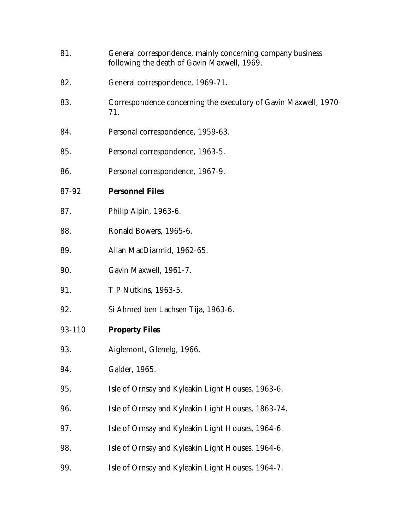- 81. General correspondence, mainly concerning company business following the death of Gavin Maxwell, 1969.
- 82. General correspondence, 1969-71.
- 83. Correspondence concerning the executory of Gavin Maxwell, 1970- 71.
- 84. Personal correspondence, 1959-63.
- 85. Personal correspondence, 1963-5.
- 86. Personal correspondence, 1967-9.
- 87-92 **Personnel Files**
- 87. Philip Alpin, 1963-6.
- 88. Ronald Bowers, 1965-6.
- 89. Allan MacDiarmid, 1962-65.
- 90. Gavin Maxwell, 1961-7.
- 91. T P Nutkins, 1963-5.
- 92. Si Ahmed ben Lachsen Tija, 1963-6.
- 93-110 **Property Files**
- 93. Aiglemont, Glenelg, 1966.
- 94. Galder, 1965.
- 95. Isle of Ornsay and Kyleakin Light Houses, 1963-6.
- 96. Isle of Ornsay and Kyleakin Light Houses, 1863-74.
- 97. Isle of Ornsay and Kyleakin Light Houses, 1964-6.
- 98. Isle of Ornsay and Kyleakin Light Houses, 1964-6.
- 99. Isle of Ornsay and Kyleakin Light Houses, 1964-7.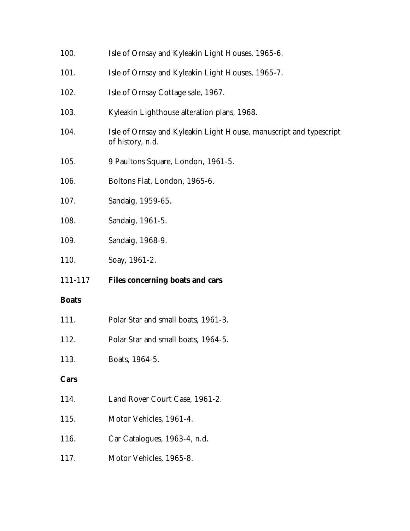| 100.         | Isle of Ornsay and Kyleakin Light Houses, 1965-6.                                      |
|--------------|----------------------------------------------------------------------------------------|
| 101.         | Isle of Ornsay and Kyleakin Light Houses, 1965-7.                                      |
| 102.         | Isle of Ornsay Cottage sale, 1967.                                                     |
| 103.         | Kyleakin Lighthouse alteration plans, 1968.                                            |
| 104.         | Isle of Ornsay and Kyleakin Light House, manuscript and typescript<br>of history, n.d. |
| 105.         | 9 Paultons Square, London, 1961-5.                                                     |
| 106.         | Boltons Flat, London, 1965-6.                                                          |
| 107.         | Sandaig, 1959-65.                                                                      |
| 108.         | Sandaig, 1961-5.                                                                       |
| 109.         | Sandaig, 1968-9.                                                                       |
|              | Soay, 1961-2.                                                                          |
| 110.         |                                                                                        |
| 111-117      | <b>Files concerning boats and cars</b>                                                 |
| <b>Boats</b> |                                                                                        |
| 111.         | Polar Star and small boats, 1961-3.                                                    |
| 112.         | Polar Star and small boats, 1964-5.                                                    |
| 113.         | Boats, 1964-5.                                                                         |
| Cars         |                                                                                        |
| 114.         | Land Rover Court Case, 1961-2.                                                         |
| 115.         | Motor Vehicles, 1961-4.                                                                |
| 116.         | Car Catalogues, 1963-4, n.d.                                                           |
| 117.         | Motor Vehicles, 1965-8.                                                                |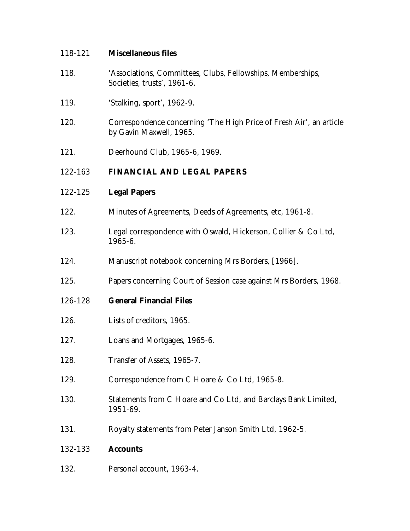### 118-121 **Miscellaneous files**

- 118. 'Associations, Committees, Clubs, Fellowships, Memberships, Societies, trusts', 1961-6.
- 119. 'Stalking, sport', 1962-9.
- 120. Correspondence concerning 'The High Price of Fresh Air', an article by Gavin Maxwell, 1965.
- 121. Deerhound Club, 1965-6, 1969.

## 122-163 **FINANCIAL AND LEGAL PAPERS**

- 122-125 **Legal Papers**
- 122. Minutes of Agreements, Deeds of Agreements, etc, 1961-8.
- 123. Legal correspondence with Oswald, Hickerson, Collier & Co Ltd, 1965-6.
- 124. Manuscript notebook concerning Mrs Borders, [1966].
- 125. Papers concerning Court of Session case against Mrs Borders, 1968.
- 126-128 **General Financial Files**
- 126. Lists of creditors, 1965.
- 127. Loans and Mortgages, 1965-6.
- 128. Transfer of Assets, 1965-7.
- 129. Correspondence from C Hoare & Co Ltd, 1965-8.
- 130. Statements from C Hoare and Co Ltd, and Barclays Bank Limited, 1951-69.
- 131. Royalty statements from Peter Janson Smith Ltd, 1962-5.

### 132-133 **Accounts**

132. Personal account, 1963-4.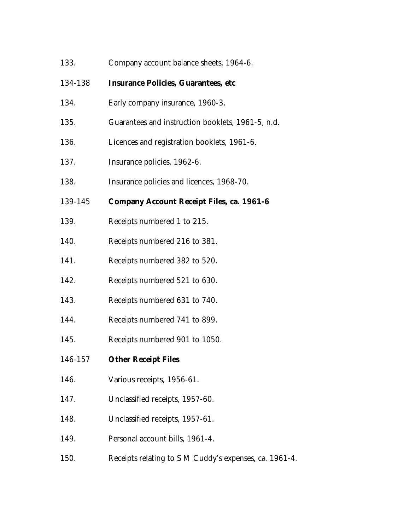| 133.    | Company account balance sheets, 1964-6.                |
|---------|--------------------------------------------------------|
| 134-138 | <b>Insurance Policies, Guarantees, etc</b>             |
| 134.    | Early company insurance, 1960-3.                       |
| 135.    | Guarantees and instruction booklets, 1961-5, n.d.      |
| 136.    | Licences and registration booklets, 1961-6.            |
| 137.    | Insurance policies, 1962-6.                            |
| 138.    | Insurance policies and licences, 1968-70.              |
| 139-145 | <b>Company Account Receipt Files, ca. 1961-6</b>       |
| 139.    | Receipts numbered 1 to 215.                            |
| 140.    | Receipts numbered 216 to 381.                          |
| 141.    | Receipts numbered 382 to 520.                          |
| 142.    | Receipts numbered 521 to 630.                          |
| 143.    | Receipts numbered 631 to 740.                          |
| 144.    | Receipts numbered 741 to 899.                          |
| 145.    | Receipts numbered 901 to 1050.                         |
| 146-157 | <b>Other Receipt Files</b>                             |
| 146.    | Various receipts, 1956-61.                             |
| 147.    | Unclassified receipts, 1957-60.                        |
| 148.    | Unclassified receipts, 1957-61.                        |
| 149.    | Personal account bills, 1961-4.                        |
| 150.    | Receipts relating to S M Cuddy's expenses, ca. 1961-4. |
|         |                                                        |